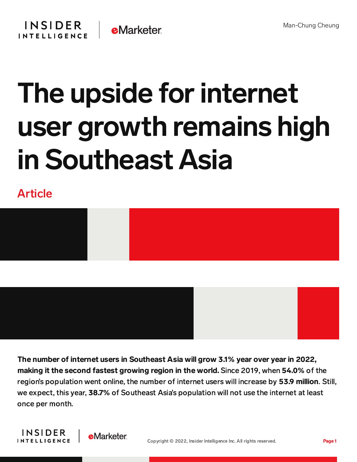## The upside for internet user growth remains high in Southeast Asia

## Article





The number of internet users in Southeast Asia will grow 3.1% year over year in 2022, making it the second fastest growing region in the world. Since 2019, when 54.0% of the region's population went online, the number of internet users will increase by 53.9 million. Still, we expect, this year, **38.7%** of Southeast Asia's population will not use the internet at least once per month.



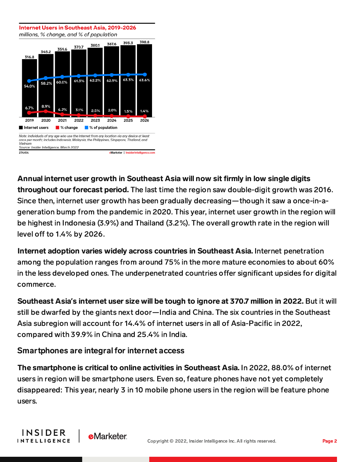

Annual internet user growth in Southeast Asia will now sit firmly in low single digits throughout our forecast period. The last time the region saw double-digit growth was 2016. Since then, internet user growth has been gradually decreasing—though it saw a once-in-ageneration bump from the pandemic in 2020. This year, internet user growth in the region will be highest in Indonesia (3.9%) and Thailand (3.2%). The overall growth rate in the region will level off to 1.4% by 2026.

Internet adoption varies widely across countries in Southeast Asia. Internet penetration among the population ranges from around 75% in the more mature economies to about 60% in the less developed ones. The underpenetrated countries offer significant upsides for digital commerce.

Southeast Asia**'**s internet user size will be tough to ignore at 370.7 million in 2022. But it will still be dwarfed by the giants next door—India and China. The six countries in the Southeast Asia subregion will account for 14.4% of internet users in all of Asia-Pacific in 2022, compared with 39.9% in China and 25.4% in India.

## Smartphones are integral for internet access

The smartphone is critical to online activities in Southeast Asia. In 2022, 88.0% of internet users in region will be smartphone users. Even so, feature phones have not yet completely disappeared: This year, nearly 3 in 10 mobile phone users in the region will be feature phone users.